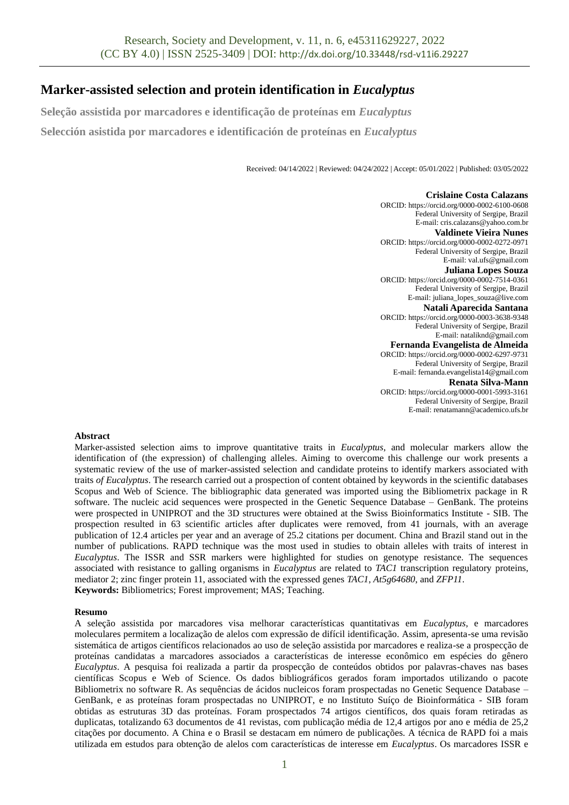# **Marker-assisted selection and protein identification in** *Eucalyptus*

**Seleção assistida por marcadores e identificação de proteínas em** *Eucalyptus* **Selección asistida por marcadores e identificación de proteínas en** *Eucalyptus*

Received: 04/14/2022 | Reviewed: 04/24/2022 | Accept: 05/01/2022 | Published: 03/05/2022

**Crislaine Costa Calazans** ORCID: https://orcid.org/0000-0002-6100-0608 Federal University of Sergipe, Brazil E-mail[: cris.calazans@yahoo.com.br](mailto:cris.calazans@yahoo.com.br) **Valdinete Vieira Nunes** ORCID: https://orcid.org/0000-0002-0272-0971 Federal University of Sergipe, Brazil E-mail[: val.ufs@gmail.com](mailto:val.ufs@gmail.com) **Juliana Lopes Souza**  ORCID: https://orcid.org/0000-0002-7514-0361 Federal University of Sergipe, Brazil E-mail[: juliana\\_lopes\\_souza@live.com](mailto:juliana_lopes_souza@live.com) **Natali Aparecida Santana** ORCID: https://orcid.org/0000-0003-3638-9348 Federal University of Sergipe, Brazil E-mail[: nataliknd@gmail.com](mailto:nataliknd@gmail.com) **Fernanda Evangelista de Almeida** ORCID: https://orcid.org/0000-0002-6297-9731 Federal University of Sergipe, Brazil E-mail[: fernanda.evangelista14@gmail.com](mailto:fernanda.evangelista14@gmail.com) **Renata Silva-Mann** ORCID: https://orcid.org/0000-0001-5993-3161 Federal University of Sergipe, Brazil E-mail[: renatamann@academico.ufs.br](mailto:renatamann@academico.ufs.br)

## **Abstract**

Marker-assisted selection aims to improve quantitative traits in *Eucalyptus*, and molecular markers allow the identification of (the expression) of challenging alleles. Aiming to overcome this challenge our work presents a systematic review of the use of marker-assisted selection and candidate proteins to identify markers associated with traits *of Eucalyptus*. The research carried out a prospection of content obtained by keywords in the scientific databases Scopus and Web of Science. The bibliographic data generated was imported using the Bibliometrix package in R software. The nucleic acid sequences were prospected in the Genetic Sequence Database – GenBank. The proteins were prospected in UNIPROT and the 3D structures were obtained at the Swiss Bioinformatics Institute - SIB. The prospection resulted in 63 scientific articles after duplicates were removed, from 41 journals, with an average publication of 12.4 articles per year and an average of 25.2 citations per document. China and Brazil stand out in the number of publications. RAPD technique was the most used in studies to obtain alleles with traits of interest in *Eucalyptus*. The ISSR and SSR markers were highlighted for studies on genotype resistance. The sequences associated with resistance to galling organisms in *Eucalyptus* are related to *TAC1* transcription regulatory proteins, mediator 2; zinc finger protein 11, associated with the expressed genes *TAC1*, *At5g64680*, and *ZFP11*. **Keywords:** Bibliometrics; Forest improvement; MAS; Teaching.

## **Resumo**

A seleção assistida por marcadores visa melhorar características quantitativas em *Eucalyptus*, e marcadores moleculares permitem a localização de alelos com expressão de difícil identificação. Assim, apresenta-se uma revisão sistemática de artigos científicos relacionados ao uso de seleção assistida por marcadores e realiza-se a prospecção de proteínas candidatas a marcadores associados a características de interesse econômico em espécies do gênero *Eucalyptus*. A pesquisa foi realizada a partir da prospecção de conteúdos obtidos por palavras-chaves nas bases científicas Scopus e Web of Science. Os dados bibliográficos gerados foram importados utilizando o pacote Bibliometrix no software R. As sequências de ácidos nucleicos foram prospectadas no Genetic Sequence Database – GenBank, e as proteínas foram prospectadas no UNIPROT, e no Instituto Suíço de Bioinformática - SIB foram obtidas as estruturas 3D das proteínas. Foram prospectados 74 artigos científicos, dos quais foram retiradas as duplicatas, totalizando 63 documentos de 41 revistas, com publicação média de 12,4 artigos por ano e média de 25,2 citações por documento. A China e o Brasil se destacam em número de publicações. A técnica de RAPD foi a mais utilizada em estudos para obtenção de alelos com características de interesse em *Eucalyptus*. Os marcadores ISSR e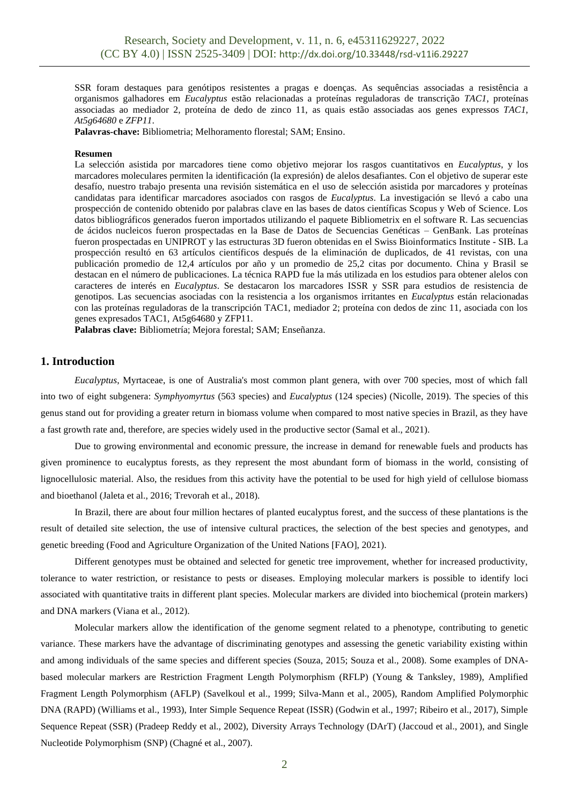SSR foram destaques para genótipos resistentes a pragas e doenças. As sequências associadas a resistência a organismos galhadores em *Eucalyptus* estão relacionadas a proteínas reguladoras de transcrição *TAC1*, proteínas associadas ao mediador 2, proteína de dedo de zinco 11, as quais estão associadas aos genes expressos *TAC1*, *At5g64680* e *ZFP11*.

**Palavras-chave:** Bibliometria; Melhoramento florestal; SAM; Ensino.

#### **Resumen**

La selección asistida por marcadores tiene como objetivo mejorar los rasgos cuantitativos en *Eucalyptus*, y los marcadores moleculares permiten la identificación (la expresión) de alelos desafiantes. Con el objetivo de superar este desafío, nuestro trabajo presenta una revisión sistemática en el uso de selección asistida por marcadores y proteínas candidatas para identificar marcadores asociados con rasgos de *Eucalyptus*. La investigación se llevó a cabo una prospección de contenido obtenido por palabras clave en las bases de datos científicas Scopus y Web of Science. Los datos bibliográficos generados fueron importados utilizando el paquete Bibliometrix en el software R. Las secuencias de ácidos nucleicos fueron prospectadas en la Base de Datos de Secuencias Genéticas – GenBank. Las proteínas fueron prospectadas en UNIPROT y las estructuras 3D fueron obtenidas en el Swiss Bioinformatics Institute - SIB. La prospección resultó en 63 artículos científicos después de la eliminación de duplicados, de 41 revistas, con una publicación promedio de 12,4 artículos por año y un promedio de 25,2 citas por documento. China y Brasil se destacan en el número de publicaciones. La técnica RAPD fue la más utilizada en los estudios para obtener alelos con caracteres de interés en *Eucalyptus*. Se destacaron los marcadores ISSR y SSR para estudios de resistencia de genotipos. Las secuencias asociadas con la resistencia a los organismos irritantes en *Eucalyptus* están relacionadas con las proteínas reguladoras de la transcripción TAC1, mediador 2; proteína con dedos de zinc 11, asociada con los genes expresados TAC1, At5g64680 y ZFP11.

**Palabras clave:** Bibliometría; Mejora forestal; SAM; Enseñanza.

# **1. Introduction**

*Eucalyptus*, Myrtaceae, is one of Australia's most common plant genera, with over 700 species, most of which fall into two of eight subgenera: *Symphyomyrtus* (563 species) and *Eucalyptus* (124 species) (Nicolle, 2019). The species of this genus stand out for providing a greater return in biomass volume when compared to most native species in Brazil, as they have a fast growth rate and, therefore, are species widely used in the productive sector (Samal et al., 2021).

Due to growing environmental and economic pressure, the increase in demand for renewable fuels and products has given prominence to eucalyptus forests, as they represent the most abundant form of biomass in the world, consisting of lignocellulosic material. Also, the residues from this activity have the potential to be used for high yield of cellulose biomass and bioethanol (Jaleta et al., 2016; Trevorah et al., 2018).

In Brazil, there are about four million hectares of planted eucalyptus forest, and the success of these plantations is the result of detailed site selection, the use of intensive cultural practices, the selection of the best species and genotypes, and genetic breeding (Food and Agriculture Organization of the United Nations [FAO], 2021).

Different genotypes must be obtained and selected for genetic tree improvement, whether for increased productivity, tolerance to water restriction, or resistance to pests or diseases. Employing molecular markers is possible to identify loci associated with quantitative traits in different plant species. Molecular markers are divided into biochemical (protein markers) and DNA markers (Viana et al., 2012).

Molecular markers allow the identification of the genome segment related to a phenotype, contributing to genetic variance. These markers have the advantage of discriminating genotypes and assessing the genetic variability existing within and among individuals of the same species and different species (Souza, 2015; Souza et al., 2008). Some examples of DNAbased molecular markers are Restriction Fragment Length Polymorphism (RFLP) (Young & Tanksley, 1989), Amplified Fragment Length Polymorphism (AFLP) (Savelkoul et al., 1999; Silva-Mann et al., 2005), Random Amplified Polymorphic DNA (RAPD) (Williams et al., 1993), Inter Simple Sequence Repeat (ISSR) (Godwin et al., 1997; Ribeiro et al., 2017), Simple Sequence Repeat (SSR) (Pradeep Reddy et al., 2002), Diversity Arrays Technology (DArT) (Jaccoud et al., 2001), and Single Nucleotide Polymorphism (SNP) (Chagné et al., 2007).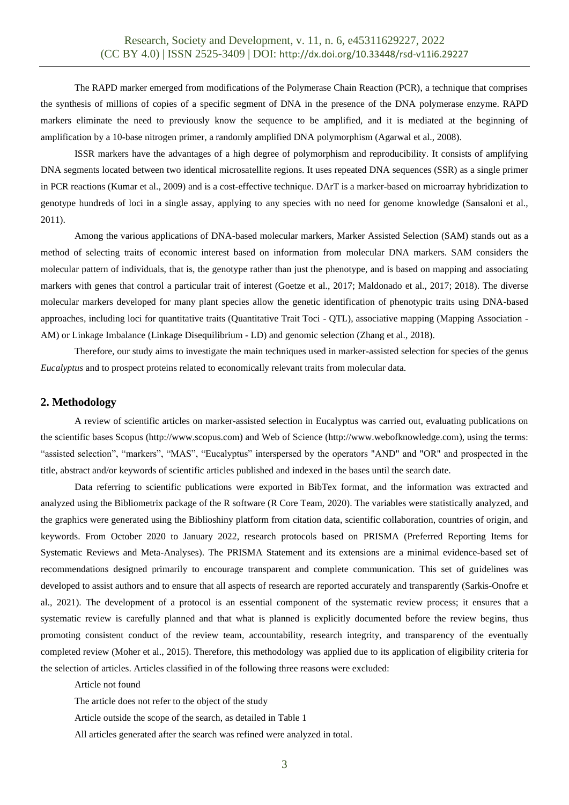The RAPD marker emerged from modifications of the Polymerase Chain Reaction (PCR), a technique that comprises the synthesis of millions of copies of a specific segment of DNA in the presence of the DNA polymerase enzyme. RAPD markers eliminate the need to previously know the sequence to be amplified, and it is mediated at the beginning of amplification by a 10-base nitrogen primer, a randomly amplified DNA polymorphism (Agarwal et al., 2008).

ISSR markers have the advantages of a high degree of polymorphism and reproducibility. It consists of amplifying DNA segments located between two identical microsatellite regions. It uses repeated DNA sequences (SSR) as a single primer in PCR reactions (Kumar et al., 2009) and is a cost-effective technique. DArT is a marker-based on microarray hybridization to genotype hundreds of loci in a single assay, applying to any species with no need for genome knowledge (Sansaloni et al., 2011).

Among the various applications of DNA-based molecular markers, Marker Assisted Selection (SAM) stands out as a method of selecting traits of economic interest based on information from molecular DNA markers. SAM considers the molecular pattern of individuals, that is, the genotype rather than just the phenotype, and is based on mapping and associating markers with genes that control a particular trait of interest (Goetze et al., 2017; Maldonado et al., 2017; 2018). The diverse molecular markers developed for many plant species allow the genetic identification of phenotypic traits using DNA-based approaches, including loci for quantitative traits (Quantitative Trait Toci - QTL), associative mapping (Mapping Association - AM) or Linkage Imbalance (Linkage Disequilibrium - LD) and genomic selection (Zhang et al., 2018).

Therefore, our study aims to investigate the main techniques used in marker-assisted selection for species of the genus *Eucalyptus* and to prospect proteins related to economically relevant traits from molecular data.

#### **2. Methodology**

A review of scientific articles on marker-assisted selection in Eucalyptus was carried out, evaluating publications on the scientific bases Scopus (http://www.scopus.com) and Web of Science (http://www.webofknowledge.com), using the terms: "assisted selection", "markers", "MAS", "Eucalyptus" interspersed by the operators "AND" and "OR" and prospected in the title, abstract and/or keywords of scientific articles published and indexed in the bases until the search date.

Data referring to scientific publications were exported in BibTex format, and the information was extracted and analyzed using the Bibliometrix package of the R software (R Core Team, 2020). The variables were statistically analyzed, and the graphics were generated using the Biblioshiny platform from citation data, scientific collaboration, countries of origin, and keywords. From October 2020 to January 2022, research protocols based on PRISMA (Preferred Reporting Items for Systematic Reviews and Meta-Analyses). The PRISMA Statement and its extensions are a minimal evidence-based set of recommendations designed primarily to encourage transparent and complete communication. This set of guidelines was developed to assist authors and to ensure that all aspects of research are reported accurately and transparently (Sarkis-Onofre et al., 2021). The development of a protocol is an essential component of the systematic review process; it ensures that a systematic review is carefully planned and that what is planned is explicitly documented before the review begins, thus promoting consistent conduct of the review team, accountability, research integrity, and transparency of the eventually completed review (Moher et al., 2015). Therefore, this methodology was applied due to its application of eligibility criteria for the selection of articles. Articles classified in of the following three reasons were excluded:

Article not found

The article does not refer to the object of the study

Article outside the scope of the search, as detailed in Table 1

All articles generated after the search was refined were analyzed in total.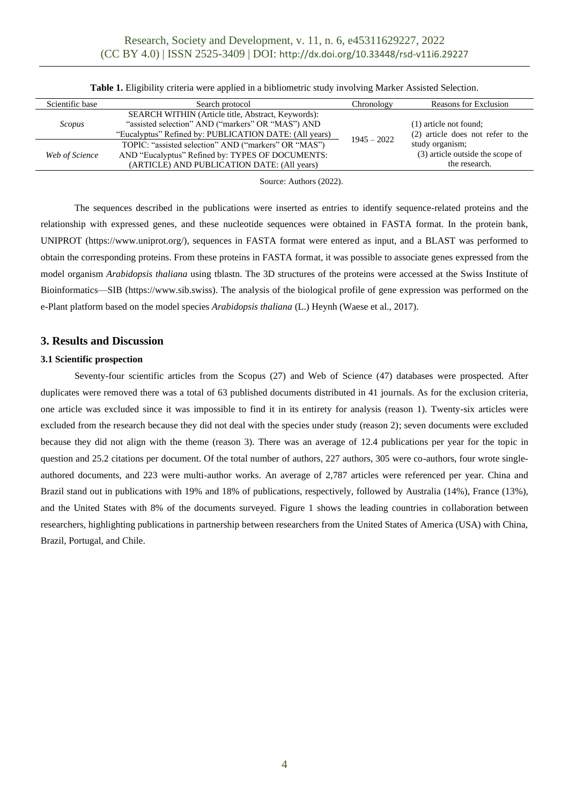| Scientific base | Search protocol                                                                                                                                                          | Chronology    | Reasons for Exclusion                                                                                                               |  |  |
|-----------------|--------------------------------------------------------------------------------------------------------------------------------------------------------------------------|---------------|-------------------------------------------------------------------------------------------------------------------------------------|--|--|
| Scopus          | <b>SEARCH WITHIN (Article title, Abstract, Keywords):</b><br>"assisted selection" AND ("markers" OR "MAS") AND<br>"Eucalyptus" Refined by: PUBLICATION DATE: (All years) |               | (1) article not found:<br>(2) article does not refer to the<br>study organism;<br>(3) article outside the scope of<br>the research. |  |  |
| Web of Science  | TOPIC: "assisted selection" AND ("markers" OR "MAS")<br>AND "Eucalyptus" Refined by: TYPES OF DOCUMENTS:<br>(ARTICLE) AND PUBLICATION DATE: (All years)                  | $1945 - 2022$ |                                                                                                                                     |  |  |
|                 |                                                                                                                                                                          |               |                                                                                                                                     |  |  |

**Table 1.** Eligibility criteria were applied in a bibliometric study involving Marker Assisted Selection.

Source: Authors (2022).

The sequences described in the publications were inserted as entries to identify sequence-related proteins and the relationship with expressed genes, and these nucleotide sequences were obtained in FASTA format. In the protein bank, UNIPROT (https://www.uniprot.org/), sequences in FASTA format were entered as input, and a BLAST was performed to obtain the corresponding proteins. From these proteins in FASTA format, it was possible to associate genes expressed from the model organism *Arabidopsis thaliana* using tblastn. The 3D structures of the proteins were accessed at the Swiss Institute of Bioinformatics—SIB (https://www.sib.swiss). The analysis of the biological profile of gene expression was performed on the e-Plant platform based on the model species *Arabidopsis thaliana* (L.) Heynh (Waese et al., 2017).

# **3. Results and Discussion**

## **3.1 Scientific prospection**

Seventy-four scientific articles from the Scopus (27) and Web of Science (47) databases were prospected. After duplicates were removed there was a total of 63 published documents distributed in 41 journals. As for the exclusion criteria, one article was excluded since it was impossible to find it in its entirety for analysis (reason 1). Twenty-six articles were excluded from the research because they did not deal with the species under study (reason 2); seven documents were excluded because they did not align with the theme (reason 3). There was an average of 12.4 publications per year for the topic in question and 25.2 citations per document. Of the total number of authors, 227 authors, 305 were co-authors, four wrote singleauthored documents, and 223 were multi-author works. An average of 2,787 articles were referenced per year. China and Brazil stand out in publications with 19% and 18% of publications, respectively, followed by Australia (14%), France (13%), and the United States with 8% of the documents surveyed. Figure 1 shows the leading countries in collaboration between researchers, highlighting publications in partnership between researchers from the United States of America (USA) with China, Brazil, Portugal, and Chile.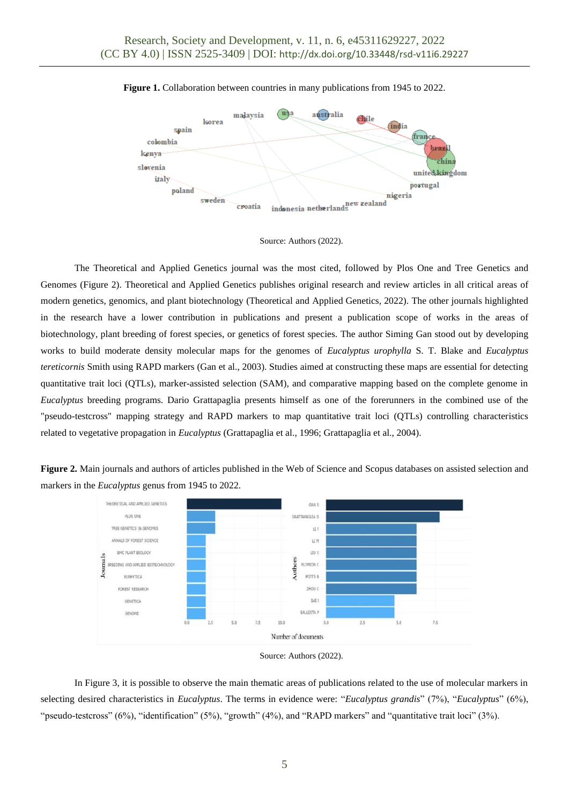

**Figure 1.** Collaboration between countries in many publications from 1945 to 2022.



The Theoretical and Applied Genetics journal was the most cited, followed by Plos One and Tree Genetics and Genomes (Figure 2). Theoretical and Applied Genetics publishes original research and review articles in all critical areas of modern genetics, genomics, and plant biotechnology (Theoretical and Applied Genetics, 2022). The other journals highlighted in the research have a lower contribution in publications and present a publication scope of works in the areas of biotechnology, plant breeding of forest species, or genetics of forest species. The author Siming Gan stood out by developing works to build moderate density molecular maps for the genomes of *Eucalyptus urophylla* S. T. Blake and *Eucalyptus tereticornis* Smith using RAPD markers (Gan et al., 2003). Studies aimed at constructing these maps are essential for detecting quantitative trait loci (QTLs), marker-assisted selection (SAM), and comparative mapping based on the complete genome in *Eucalyptus* breeding programs. Dario Grattapaglia presents himself as one of the forerunners in the combined use of the "pseudo-testcross" mapping strategy and RAPD markers to map quantitative trait loci (QTLs) controlling characteristics related to vegetative propagation in *Eucalyptus* (Grattapaglia et al., 1996; Grattapaglia et al., 2004).

**Figure 2.** Main journals and authors of articles published in the Web of Science and Scopus databases on assisted selection and markers in the *Eucalyptus* genus from 1945 to 2022.



Source: Authors (2022).

In Figure 3, it is possible to observe the main thematic areas of publications related to the use of molecular markers in selecting desired characteristics in *Eucalyptus*. The terms in evidence were: "*Eucalyptus grandis*" (7%), "*Eucalyptus*" (6%), "pseudo-testcross" (6%), "identification" (5%), "growth" (4%), and "RAPD markers" and "quantitative trait loci" (3%).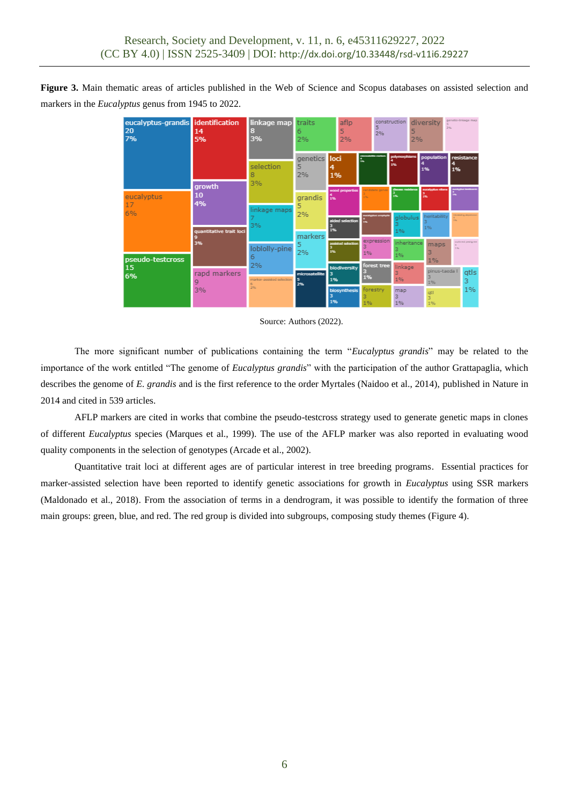**Figure 3.** Main thematic areas of articles published in the Web of Science and Scopus databases on assisted selection and markers in the *Eucalyptus* genus from 1945 to 2022.

|          | eucalyptus-grandis identification<br>20<br>7% | 14<br>5%                      | linkage map<br>31<br>3%                    | traits<br>5<br>6<br>2%           |          | aflp<br>2%                            |    | construction<br>2% |                                     | 5<br>2% |                                          | genetic-linkage map<br>diversity<br>2% |                    |  |
|----------|-----------------------------------------------|-------------------------------|--------------------------------------------|----------------------------------|----------|---------------------------------------|----|--------------------|-------------------------------------|---------|------------------------------------------|----------------------------------------|--------------------|--|
|          |                                               |                               | selection<br>3%                            | genetics loci<br>5<br>2%         | 4<br>1%  |                                       | ÷  |                    | polymorphisms<br>1%                 |         | population<br>1%                         | 1%                                     | resistance         |  |
|          | eucalyptus<br>17<br>6%                        | <b>growth</b><br>10<br>4%     | linkage maps                               | grandis<br>5<br>2%               | īs.      | wood properties                       |    | candidate gener    | dieses resistance<br>1%<br>globulus |         | eucalystus nitera<br>is.<br>heritability |                                        |                    |  |
|          |                                               | quantitative trait loci<br>3% | 3%<br>loblolly-pine                        | markers<br>5                     | 1%<br>1% | aided selection<br>assisted selection |    | expression         | 1%<br>inheritance                   |         | 1%<br>maps                               | 1.56                                   | authors' and great |  |
| 15<br>6% | pseudo-testcross                              | rapd markers<br>9<br>3%       | 6<br>2%<br>marker-assisted selection<br>2% | 2%<br>microsatellite<br>15<br>2% | 1%       | 1%<br>biodiversity<br>1%              |    | forest tree        | 1%<br>linkage<br>1%                 |         | $1\%$<br>pinus-taeda l<br>1%             |                                        | gtls               |  |
|          |                                               |                               |                                            |                                  | з<br>1%  | biosynthesis                          | 1% | forestry           | map<br>3<br>1%                      |         | atl<br>ś.<br>1%                          |                                        | 1%                 |  |

#### Source: Authors (2022).

The more significant number of publications containing the term "*Eucalyptus grandis*" may be related to the importance of the work entitled "The genome of *Eucalyptus grandis*" with the participation of the author Grattapaglia, which describes the genome of *E. grandis* and is the first reference to the order Myrtales (Naidoo et al., 2014), published in Nature in 2014 and cited in 539 articles.

AFLP markers are cited in works that combine the pseudo-testcross strategy used to generate genetic maps in clones of different *Eucalyptus* species (Marques et al., 1999). The use of the AFLP marker was also reported in evaluating wood quality components in the selection of genotypes (Arcade et al., 2002).

Quantitative trait loci at different ages are of particular interest in tree breeding programs. Essential practices for marker-assisted selection have been reported to identify genetic associations for growth in *Eucalyptus* using SSR markers (Maldonado et al., 2018). From the association of terms in a dendrogram, it was possible to identify the formation of three main groups: green, blue, and red. The red group is divided into subgroups, composing study themes (Figure 4).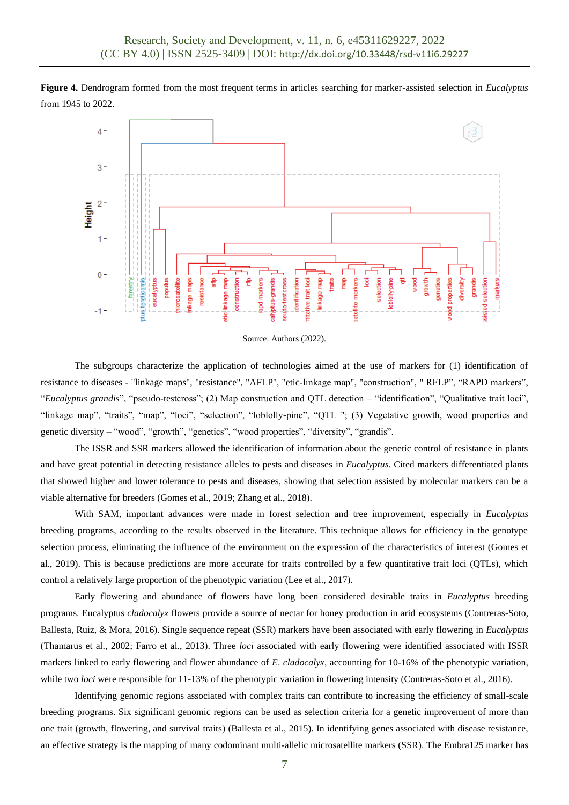**Figure 4.** Dendrogram formed from the most frequent terms in articles searching for marker-assisted selection in *Eucalyptus* from 1945 to 2022.





The subgroups characterize the application of technologies aimed at the use of markers for (1) identification of resistance to diseases - "linkage maps", "resistance", "AFLP", "etic-linkage map", "construction", " RFLP", "RAPD markers", "*Eucalyptus grandis*", "pseudo-testcross"; (2) Map construction and QTL detection – "identification", "Qualitative trait loci", "linkage map", "traits", "map", "loci", "selection", "loblolly-pine", "QTL "; (3) Vegetative growth, wood properties and genetic diversity – "wood", "growth", "genetics", "wood properties", "diversity", "grandis".

The ISSR and SSR markers allowed the identification of information about the genetic control of resistance in plants and have great potential in detecting resistance alleles to pests and diseases in *Eucalyptus*. Cited markers differentiated plants that showed higher and lower tolerance to pests and diseases, showing that selection assisted by molecular markers can be a viable alternative for breeders (Gomes et al., 2019; Zhang et al., 2018).

With SAM, important advances were made in forest selection and tree improvement, especially in *Eucalyptus* breeding programs, according to the results observed in the literature. This technique allows for efficiency in the genotype selection process, eliminating the influence of the environment on the expression of the characteristics of interest (Gomes et al., 2019). This is because predictions are more accurate for traits controlled by a few quantitative trait loci (QTLs), which control a relatively large proportion of the phenotypic variation (Lee et al., 2017).

Early flowering and abundance of flowers have long been considered desirable traits in *Eucalyptus* breeding programs. Eucalyptus *cladocalyx* flowers provide a source of nectar for honey production in arid ecosystems (Contreras-Soto, Ballesta, Ruiz, & Mora, 2016). Single sequence repeat (SSR) markers have been associated with early flowering in *Eucalyptus* (Thamarus et al., 2002; Farro et al., 2013). Three *loci* associated with early flowering were identified associated with ISSR markers linked to early flowering and flower abundance of *E*. *cladocalyx*, accounting for 10-16% of the phenotypic variation, while two *loci* were responsible for 11-13% of the phenotypic variation in flowering intensity (Contreras-Soto et al., 2016).

Identifying genomic regions associated with complex traits can contribute to increasing the efficiency of small-scale breeding programs. Six significant genomic regions can be used as selection criteria for a genetic improvement of more than one trait (growth, flowering, and survival traits) (Ballesta et al., 2015). In identifying genes associated with disease resistance, an effective strategy is the mapping of many codominant multi-allelic microsatellite markers (SSR). The Embra125 marker has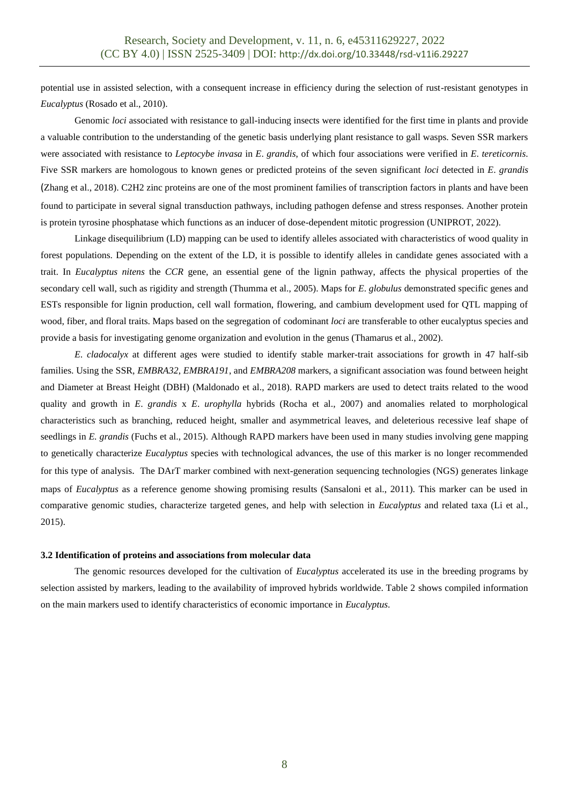potential use in assisted selection, with a consequent increase in efficiency during the selection of rust-resistant genotypes in *Eucalyptus* (Rosado et al., 2010).

Genomic *loci* associated with resistance to gall-inducing insects were identified for the first time in plants and provide a valuable contribution to the understanding of the genetic basis underlying plant resistance to gall wasps. Seven SSR markers were associated with resistance to *Leptocybe invasa* in *E*. *grandis*, of which four associations were verified in *E*. *tereticornis*. Five SSR markers are homologous to known genes or predicted proteins of the seven significant *loci* detected in *E*. *grandis* (Zhang et al., 2018). C2H2 zinc proteins are one of the most prominent families of transcription factors in plants and have been found to participate in several signal transduction pathways, including pathogen defense and stress responses. Another protein is protein tyrosine phosphatase which functions as an inducer of dose-dependent mitotic progression (UNIPROT, 2022).

Linkage disequilibrium (LD) mapping can be used to identify alleles associated with characteristics of wood quality in forest populations. Depending on the extent of the LD, it is possible to identify alleles in candidate genes associated with a trait. In *Eucalyptus nitens* the *CCR* gene, an essential gene of the lignin pathway, affects the physical properties of the secondary cell wall, such as rigidity and strength (Thumma et al., 2005). Maps for *E*. *globulus* demonstrated specific genes and ESTs responsible for lignin production, cell wall formation, flowering, and cambium development used for QTL mapping of wood, fiber, and floral traits. Maps based on the segregation of codominant *loci* are transferable to other eucalyptus species and provide a basis for investigating genome organization and evolution in the genus (Thamarus et al., 2002).

*E*. *cladocalyx* at different ages were studied to identify stable marker-trait associations for growth in 47 half-sib families. Using the SSR, *EMBRA32*, *EMBRA191*, and *EMBRA208* markers, a significant association was found between height and Diameter at Breast Height (DBH) (Maldonado et al., 2018). RAPD markers are used to detect traits related to the wood quality and growth in *E*. *grandis* x *E*. *urophylla* hybrids (Rocha et al., 2007) and anomalies related to morphological characteristics such as branching, reduced height, smaller and asymmetrical leaves, and deleterious recessive leaf shape of seedlings in *E. grandis* (Fuchs et al., 2015). Although RAPD markers have been used in many studies involving gene mapping to genetically characterize *Eucalyptus* species with technological advances, the use of this marker is no longer recommended for this type of analysis. The DArT marker combined with next-generation sequencing technologies (NGS) generates linkage maps of *Eucalyptus* as a reference genome showing promising results (Sansaloni et al., 2011). This marker can be used in comparative genomic studies, characterize targeted genes, and help with selection in *Eucalyptus* and related taxa (Li et al., 2015).

#### **3.2 Identification of proteins and associations from molecular data**

The genomic resources developed for the cultivation of *Eucalyptus* accelerated its use in the breeding programs by selection assisted by markers, leading to the availability of improved hybrids worldwide. Table 2 shows compiled information on the main markers used to identify characteristics of economic importance in *Eucalyptus*.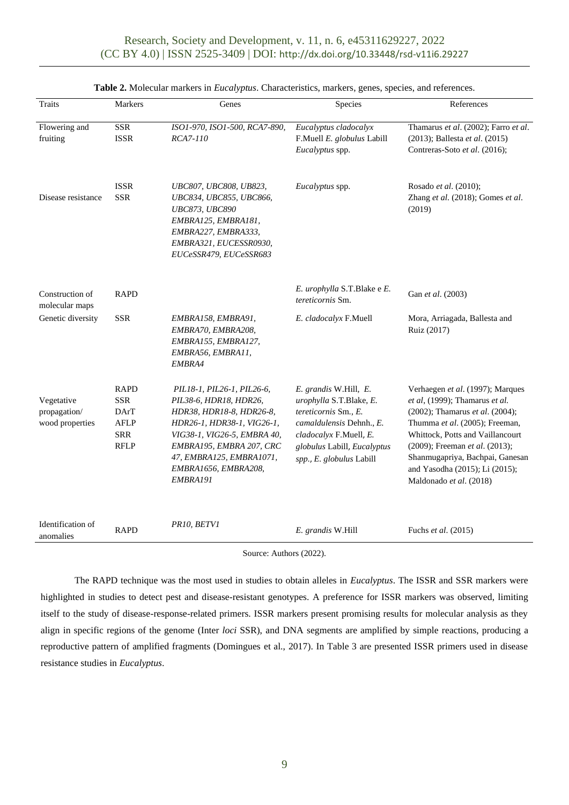| Traits                                        | <b>Markers</b>                                                                | Genes                                                                                                                                                                                                                                     | Species                                                                                                                                                                                   | References                                                                                                                                                                                                                                                                                                    |
|-----------------------------------------------|-------------------------------------------------------------------------------|-------------------------------------------------------------------------------------------------------------------------------------------------------------------------------------------------------------------------------------------|-------------------------------------------------------------------------------------------------------------------------------------------------------------------------------------------|---------------------------------------------------------------------------------------------------------------------------------------------------------------------------------------------------------------------------------------------------------------------------------------------------------------|
| Flowering and<br>fruiting                     | <b>SSR</b><br><b>ISSR</b>                                                     | ISO1-970, ISO1-500, RCA7-890,<br>RCA7-110                                                                                                                                                                                                 | Eucalyptus cladocalyx<br>F.Muell E. globulus Labill<br>Eucalyptus spp.                                                                                                                    | Thamarus et al. (2002); Farro et al.<br>(2013); Ballesta et al. (2015)<br>Contreras-Soto et al. (2016);                                                                                                                                                                                                       |
| Disease resistance                            | <b>ISSR</b><br><b>SSR</b>                                                     | UBC807, UBC808, UB823,<br>UBC834, UBC855, UBC866,<br><b>UBC873, UBC890</b><br>EMBRA125, EMBRA181,<br>EMBRA227, EMBRA333,<br>EMBRA321, EUCESSR0930,<br>EUCeSSR479, EUCeSSR683                                                              | Eucalyptus spp.                                                                                                                                                                           | Rosado et al. (2010);<br>Zhang et al. (2018); Gomes et al.<br>(2019)                                                                                                                                                                                                                                          |
| Construction of<br>molecular maps             | <b>RAPD</b>                                                                   |                                                                                                                                                                                                                                           | E. urophylla S.T.Blake e E.<br>tereticornis Sm.                                                                                                                                           | Gan et al. (2003)                                                                                                                                                                                                                                                                                             |
| Genetic diversity                             | <b>SSR</b>                                                                    | EMBRA158, EMBRA91,<br>EMBRA70, EMBRA208,<br>EMBRA155, EMBRA127,<br>EMBRA56, EMBRA11,<br>EMBRA4                                                                                                                                            | E. cladocalyx F.Muell                                                                                                                                                                     | Mora, Arriagada, Ballesta and<br>Ruiz (2017)                                                                                                                                                                                                                                                                  |
| Vegetative<br>propagation/<br>wood properties | <b>RAPD</b><br><b>SSR</b><br>DArT<br><b>AFLP</b><br><b>SRR</b><br><b>RFLP</b> | PIL18-1, PIL26-1, PIL26-6,<br>PIL38-6, HDR18, HDR26,<br>HDR38, HDR18-8, HDR26-8,<br>HDR26-1, HDR38-1, VIG26-1,<br>VIG38-1, VIG26-5, EMBRA 40,<br>EMBRA195, EMBRA 207, CRC<br>47, EMBRA125, EMBRA1071,<br>EMBRA1656, EMBRA208,<br>EMBRA191 | E. grandis W.Hill, E.<br>urophylla S.T.Blake, E.<br>tereticornis Sm., E.<br>camaldulensis Dehnh., E.<br>cladocalyx F.Muell, E.<br>globulus Labill, Eucalyptus<br>spp., E. globulus Labill | Verhaegen et al. (1997); Marques<br>et al, (1999); Thamarus et al.<br>(2002); Thamarus et al. (2004);<br>Thumma et al. (2005); Freeman,<br>Whittock, Potts and Vaillancourt<br>(2009); Freeman et al. (2013);<br>Shanmugapriya, Bachpai, Ganesan<br>and Yasodha (2015); Li (2015);<br>Maldonado et al. (2018) |
| Identification of<br>anomalies                | <b>RAPD</b>                                                                   | PR10, BETV1                                                                                                                                                                                                                               | E. grandis W.Hill                                                                                                                                                                         | Fuchs et al. (2015)                                                                                                                                                                                                                                                                                           |

## **Table 2.** Molecular markers in *Eucalyptus*. Characteristics, markers, genes, species, and references.

Source: Authors (2022).

The RAPD technique was the most used in studies to obtain alleles in *Eucalyptus*. The ISSR and SSR markers were highlighted in studies to detect pest and disease-resistant genotypes. A preference for ISSR markers was observed, limiting itself to the study of disease-response-related primers. ISSR markers present promising results for molecular analysis as they align in specific regions of the genome (Inter *loci* SSR), and DNA segments are amplified by simple reactions, producing a reproductive pattern of amplified fragments (Domingues et al., 2017). In Table 3 are presented ISSR primers used in disease resistance studies in *Eucalyptus*.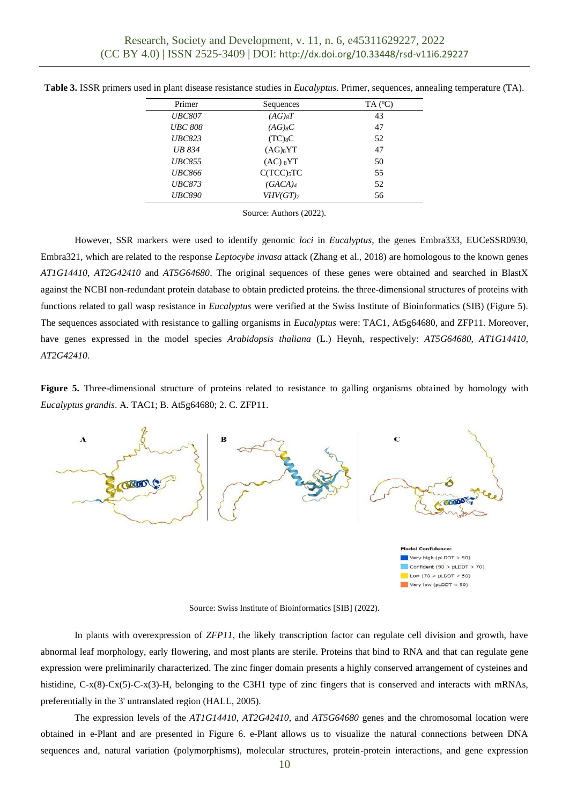| Primer         | Sequences                  | $TA$ ( $^{\circ}C$ ) |
|----------------|----------------------------|----------------------|
| <b>UBC807</b>  | $(AG)_{8}T$                | 43                   |
| <b>UBC 808</b> | $(AG)_{8}C$                | 47                   |
| <b>UBC823</b>  | $(TC)_{8}C$                | 52                   |
| <b>UB 834</b>  | $(AG)_{8}YT$               | 47                   |
| <b>UBC855</b>  | (AC) <sub>8</sub> YT       | 50                   |
| <b>UBC866</b>  | $C(TCC)$ <sub>5</sub> $TC$ | 55                   |
| <b>UBC873</b>  | $(GACA)_4$                 | 52                   |
| <b>UBC890</b>  | $VHV(GT)$ 7                | 56                   |
|                |                            |                      |

**Table 3.** ISSR primers used in plant disease resistance studies in *Eucalyptus*. Primer, sequences, annealing temperature (TA).

Source: Authors (2022).

However, SSR markers were used to identify genomic *loci* in *Eucalyptus*, the genes Embra333, EUCeSSR0930, Embra321, which are related to the response *Leptocybe invasa* attack (Zhang et al., 2018) are homologous to the known genes *AT1G14410*, *AT2G42410* and *AT5G64680*. The original sequences of these genes were obtained and searched in BlastX against the NCBI non-redundant protein database to obtain predicted proteins. the three-dimensional structures of proteins with functions related to gall wasp resistance in *Eucalyptus* were verified at the Swiss Institute of Bioinformatics (SIB) (Figure 5). The sequences associated with resistance to galling organisms in *Eucalyptus* were: TAC1, At5g64680, and ZFP11. Moreover, have genes expressed in the model species *Arabidopsis thaliana* (L.) Heynh, respectively: *AT5G64680*, *AT1G14410*, *AT2G42410*.

**Figure 5.** Three-dimensional structure of proteins related to resistance to galling organisms obtained by homology with *Eucalyptus grandis*. A. TAC1; B. At5g64680; 2. C. ZFP11.



Source: Swiss Institute of Bioinformatics [SIB] (2022).

In plants with overexpression of *ZFP11*, the likely transcription factor can regulate cell division and growth, have abnormal leaf morphology, early flowering, and most plants are sterile. Proteins that bind to RNA and that can regulate gene expression were preliminarily characterized. The zinc finger domain presents a highly conserved arrangement of cysteines and histidine,  $C-x(8)-Cx(5)-Cx(3)-H$ , belonging to the C3H1 type of zinc fingers that is conserved and interacts with mRNAs, preferentially in the 3' untranslated region (HALL, 2005).

The expression levels of the *AT1G14410*, *AT2G42410*, and *AT5G64680* genes and the chromosomal location were obtained in e-Plant and are presented in Figure 6. e-Plant allows us to visualize the natural connections between DNA sequences and, natural variation (polymorphisms), molecular structures, protein-protein interactions, and gene expression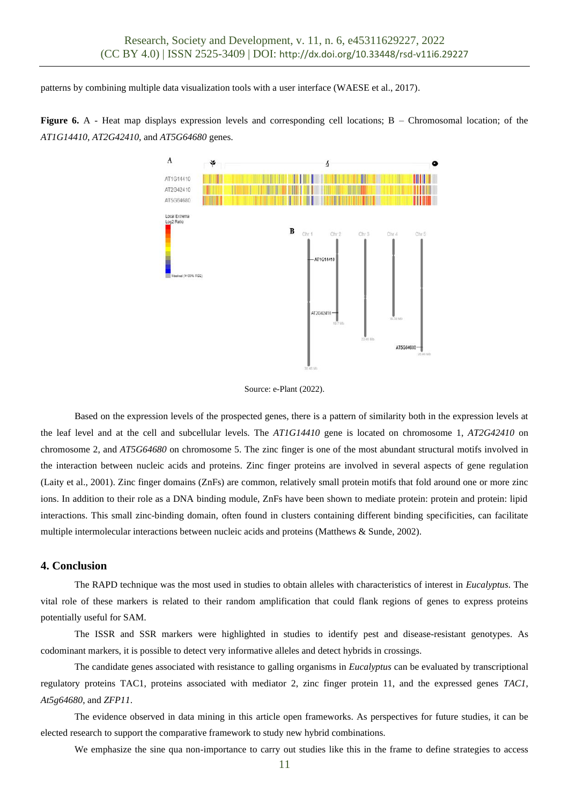patterns by combining multiple data visualization tools with a user interface (WAESE et al., 2017).





Source: e-Plant (2022).

Based on the expression levels of the prospected genes, there is a pattern of similarity both in the expression levels at the leaf level and at the cell and subcellular levels. The *AT1G14410* gene is located on chromosome 1, *AT2G42410* on chromosome 2, and *AT5G64680* on chromosome 5. The zinc finger is one of the most abundant structural motifs involved in the interaction between nucleic acids and proteins. Zinc finger proteins are involved in several aspects of gene regulation (Laity et al., 2001). Zinc finger domains (ZnFs) are common, relatively small protein motifs that fold around one or more zinc ions. In addition to their role as a DNA binding module, ZnFs have been shown to mediate protein: protein and protein: lipid interactions. This small zinc-binding domain, often found in clusters containing different binding specificities, can facilitate multiple intermolecular interactions between nucleic acids and proteins (Matthews & Sunde, 2002).

#### **4. Conclusion**

The RAPD technique was the most used in studies to obtain alleles with characteristics of interest in *Eucalyptus*. The vital role of these markers is related to their random amplification that could flank regions of genes to express proteins potentially useful for SAM.

The ISSR and SSR markers were highlighted in studies to identify pest and disease-resistant genotypes. As codominant markers, it is possible to detect very informative alleles and detect hybrids in crossings.

The candidate genes associated with resistance to galling organisms in *Eucalyptus* can be evaluated by transcriptional regulatory proteins TAC1, proteins associated with mediator 2, zinc finger protein 11, and the expressed genes *TAC1*, *At5g64680*, and *ZFP11*.

The evidence observed in data mining in this article open frameworks. As perspectives for future studies, it can be elected research to support the comparative framework to study new hybrid combinations.

We emphasize the sine qua non-importance to carry out studies like this in the frame to define strategies to access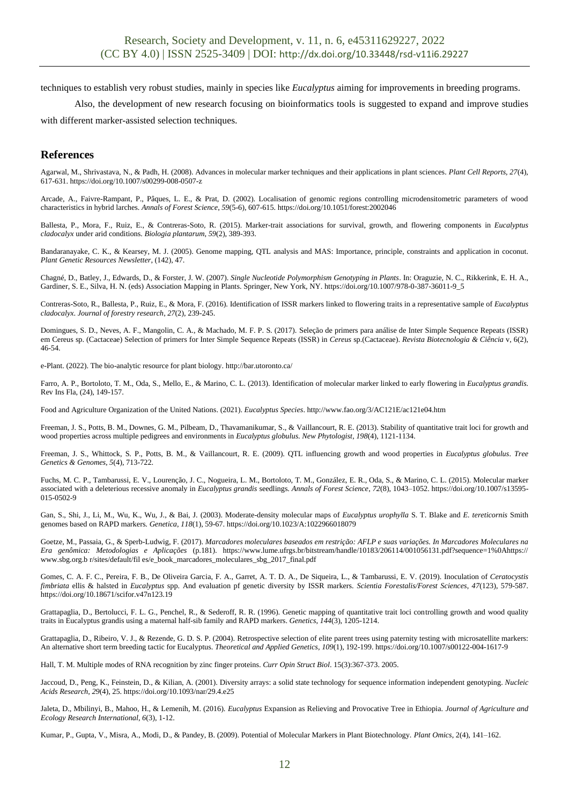techniques to establish very robust studies, mainly in species like *Eucalyptus* aiming for improvements in breeding programs.

Also, the development of new research focusing on bioinformatics tools is suggested to expand and improve studies

with different marker-assisted selection techniques.

# **References**

Agarwal, M., Shrivastava, N., & Padh, H. (2008). Advances in molecular marker techniques and their applications in plant sciences. *Plant Cell Reports, 27*(4), 617-631[. https://doi.org/10.1007/s00299-008-0507-z](https://doi.org/10.1007/s00299-008-0507-z)

Arcade, A., Faivre-Rampant, P., Pâques, L. E., & Prat, D. (2002). Localisation of genomic regions controlling microdensitometric parameters of wood characteristics in hybrid larches. *Annals of Forest Science*, *59*(5-6), 607-615[. https://doi.org/10.1051/forest:2002046](https://doi.org/10.1051/forest:2002046)

Ballesta, P., Mora, F., Ruiz, E., & Contreras-Soto, R. (2015). Marker-trait associations for survival, growth, and flowering components in *Eucalyptus cladocalyx* under arid conditions*. Biologia plantarum*, *59*(2), 389-393.

Bandaranayake, C. K., & Kearsey, M. J. (2005). Genome mapping, QTL analysis and MAS: Importance, principle, constraints and application in coconut. *Plant Genetic Resources Newsletter*, (142), 47.

Chagné, D., Batley, J., Edwards, D., & Forster, J. W. (2007). *Single Nucleotide Polymorphism Genotyping in Plants*. In: Oraguzie, N. C., Rikkerink, E. H. A., Gardiner, S. E., Silva, H. N. (eds) Association Mapping in Plants. Springer, New York, NY[. https://doi.org/10.1007/978-0-387-36011-9\\_5](https://doi.org/10.1007/978-0-387-36011-9_5)

Contreras-Soto, R., Ballesta, P., Ruiz, E., & Mora, F. (2016). Identification of ISSR markers linked to flowering traits in a representative sample of *Eucalyptus cladocalyx*. *Journal of forestry research*, *27*(2), 239-245.

Domingues, S. D., Neves, A. F., Mangolin, C. A., & Machado, M. F. P. S. (2017). Seleção de primers para análise de Inter Simple Sequence Repeats (ISSR) em Cereus sp. (Cactaceae) Selection of primers for Inter Simple Sequence Repeats (ISSR) in *Cereus* sp.(Cactaceae). *Revista Biotecnologia & Ciência* v, 6(2), 46-54.

e-Plant. (2022). The bio-analytic resource for plant biology. http://bar.utoronto.ca/

Farro, A. P., Bortoloto, T. M., Oda, S., Mello, E., & Marino, C. L. (2013). Identification of molecular marker linked to early flowering in *Eucalyptus grandis*. Rev Ins Fla, (24), 149-157.

Food and Agriculture Organization of the United Nations. (2021). *Eucalyptus Species*[. http://www.fao.org/3/AC121E/ac121e04.htm](http://www.fao.org/3/AC121E/ac121e04.htm)

Freeman, J. S., Potts, B. M., Downes, G. M., Pilbeam, D., Thavamanikumar, S., & Vaillancourt, R. E. (2013). Stability of quantitative trait loci for growth and wood properties across multiple pedigrees and environments in *Eucalyptus globulus*. *New Phytologist*, *198*(4), 1121-1134.

Freeman, J. S., Whittock, S. P., Potts, B. M., & Vaillancourt, R. E. (2009). QTL influencing growth and wood properties in *Eucalyptus globulus*. *Tree Genetics & Genomes*, *5*(4), 713-722.

Fuchs, M. C. P., Tambarussi, E. V., Lourenção, J. C., Nogueira, L. M., Bortoloto, T. M., González, E. R., Oda, S., & Marino, C. L. (2015). Molecular marker associated with a deleterious recessive anomaly in *Eucalyptus grandis* seedlings. *Annals of Forest Science*, *72*(8), 1043–1052[. https://doi.org/10.1007/s13595-](https://doi.org/10.1007/s13595-015-0502-9) [015-0502-9](https://doi.org/10.1007/s13595-015-0502-9)

Gan, S., Shi, J., Li, M., Wu, K., Wu, J., & Bai, J. (2003). Moderate-density molecular maps of *Eucalyptus urophylla* S. T. Blake and *E. tereticornis* Smith genomes based on RAPD markers. *Genetica*, *118*(1), 59-67[. https://doi.org/10.1023/A:1022966018079](https://doi.org/10.1023/A:1022966018079)

Goetze, M., Passaia, G., & Sperb-Ludwig, F. (2017). *Marcadores moleculares baseados em restrição: AFLP e suas variações. In Marcadores Moleculares na Era genômica: Metodologias e Aplicações* (p.181). [https://www.lume.ufrgs.br/bitstream/handle/10183/206114/001056131.pdf?sequence=1%0Ahttps://](https://www.lume.ufrgs.br/bitstream/handle/10183/206114/001056131.pdf?sequence=1%0Ahttps://%20www.sbg.org.b%20r/sites/default/fil) www.sbg.org.b [r/sites/default/fil](https://www.lume.ufrgs.br/bitstream/handle/10183/206114/001056131.pdf?sequence=1%0Ahttps://%20www.sbg.org.b%20r/sites/default/fil) es/e\_book\_marcadores\_moleculares\_sbg\_2017\_final.pdf

Gomes, C. A. F. C., Pereira, F. B., De Oliveira Garcia, F. A., Garret, A. T. D. A., De Siqueira, L., & Tambarussi, E. V. (2019). Inoculation of *Ceratocystis fimbriata* ellis & halsted in *Eucalyptus* spp. And evaluation pf genetic diversity by ISSR markers. *Scientia Forestalis/Forest Sciences*, *47*(123), 579-587. <https://doi.org/10.18671/scifor.v47n123.19>

Grattapaglia, D., Bertolucci, F. L. G., Penchel, R., & Sederoff, R. R. (1996). Genetic mapping of quantitative trait loci controlling growth and wood quality traits in Eucalyptus grandis using a maternal half-sib family and RAPD markers. *Genetics*, *144*(3), 1205-1214.

Grattapaglia, D., Ribeiro, V. J., & Rezende, G. D. S. P. (2004). Retrospective selection of elite parent trees using paternity testing with microsatellite markers: An alternative short term breeding tactic for Eucalyptus. *Theoretical and Applied Genetics*, *109*(1), 192-199[. https://doi.org/10.1007/s00122-004-1617-9](https://doi.org/10.1007/s00122-004-1617-9)

Hall, T. M. Multiple modes of RNA recognition by zinc finger proteins. *Curr Opin Struct Biol*. 15(3):367-373. 2005.

Jaccoud, D., Peng, K., Feinstein, D., & Kilian, A. (2001). Diversity arrays: a solid state technology for sequence information independent genotyping. *Nucleic Acids Research*, *29*(4), 25[. https://doi.org/10.1093/nar/29.4.e25](https://doi.org/10.1093/nar/29.4.e25)

Jaleta, D., Mbilinyi, B., Mahoo, H., & Lemenih, M. (2016). *Eucalyptus* Expansion as Relieving and Provocative Tree in Ethiopia. *Journal of Agriculture and Ecology Research International*, *6*(3), 1-12.

Kumar, P., Gupta, V., Misra, A., Modi, D., & Pandey, B. (2009). Potential of Molecular Markers in Plant Biotechnology. *Plant Omics*, 2(4), 141–162.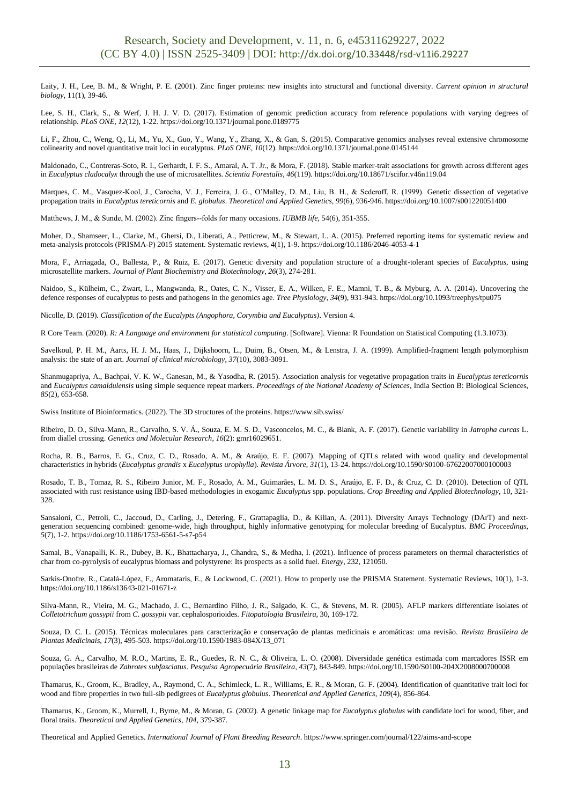Laity, J. H., Lee, B. M., & Wright, P. E. (2001). Zinc finger proteins: new insights into structural and functional diversity. *Current opinion in structural biology*, 11(1), 39-46.

Lee, S. H., Clark, S., & Werf, J. H. J. V. D. (2017). Estimation of genomic prediction accuracy from reference populations with varying degrees of relationship. *PLoS ONE*, *12*(12), 1-22[. https://doi.org/10.1371/journal.pone.0189775](https://doi.org/10.1371/journal.pone.0189775)

Li, F., Zhou, C., Weng, Q., Li, M., Yu, X., Guo, Y., Wang, Y., Zhang, X., & Gan, S. (2015). Comparative genomics analyses reveal extensive chromosome colinearity and novel quantitative trait loci in eucalyptus. *PLoS ONE*, *10*(12).<https://doi.org/10.1371/journal.pone.0145144>

Maldonado, C., Contreras-Soto, R. I., Gerhardt, I. F. S., Amaral, A. T. Jr., & Mora, F. (2018). Stable marker-trait associations for growth across different ages in *Eucalyptus cladocalyx* through the use of microsatellites. *Scientia Forestalis*, *46*(119)[. https://doi.org/10.18671/scifor.v46n119.04](https://doi.org/10.18671/scifor.v46n119.04)

Marques, C. M., Vasquez-Kool, J., Carocha, V. J., Ferreira, J. G., O'Malley, D. M., Liu, B. H., & Sederoff, R. (1999). Genetic dissection of vegetative propagation traits in *Eucalyptus tereticornis* and *E. globulus*. *Theoretical and Applied Genetics*, *99*(6), 936-946[. https://doi.org/10.1007/s001220051400](https://doi.org/10.1007/s001220051400)

Matthews, J. M., & Sunde, M. (2002). Zinc fingers--folds for many occasions. *IUBMB life*, 54(6), 351-355.

Moher, D., Shamseer, L., Clarke, M., Ghersi, D., Liberati, A., Petticrew, M., & Stewart, L. A. (2015). Preferred reporting items for systematic review and meta-analysis protocols (PRISMA-P) 2015 statement. Systematic reviews, 4(1), 1-9. https://doi.org/10.1186/2046-4053-4-1

Mora, F., Arriagada, O., Ballesta, P., & Ruiz, E. (2017). Genetic diversity and population structure of a drought-tolerant species of *Eucalyptus*, using microsatellite markers. *Journal of Plant Biochemistry and Biotechnology*, *26*(3), 274-281.

Naidoo, S., Külheim, C., Zwart, L., Mangwanda, R., Oates, C. N., Visser, E. A., Wilken, F. E., Mamni, T. B., & Myburg, A. A. (2014). Uncovering the defence responses of eucalyptus to pests and pathogens in the genomics age. *Tree Physiology*, *34*(9), 931-943[. https://doi.org/10.1093/treephys/tpu075](https://doi.org/10.1093/treephys/tpu075)

Nicolle, D. (2019). *Classification of the Eucalypts (Angophora, Corymbia and Eucalyptus)*. Version 4.

R Core Team. (2020). *R: A Language and environment for statistical computing*. [Software]. Vienna: R Foundation on Statistical Computing (1.3.1073).

Savelkoul, P. H. M., Aarts, H. J. M., Haas, J., Dijkshoorn, L., Duim, B., Otsen, M., & Lenstra, J. A. (1999). Amplified-fragment length polymorphism analysis: the state of an art. *Journal of clinical microbiology*, *37*(10), 3083-3091.

Shanmugapriya, A., Bachpai, V. K. W., Ganesan, M., & Yasodha, R. (2015)*.* Association analysis for vegetative propagation traits in *Eucalyptus tereticornis* and *Eucalyptus camaldulensis* using simple sequence repeat markers. *Proceedings of the National Academy of Sciences*, India Section B: Biological Sciences, *85*(2), 653-658.

Swiss Institute of Bioinformatics. (2022). The 3D structures of the proteins. https://www.sib.swiss/

Ribeiro, D. O., Silva-Mann, R., Carvalho, S. V. Á., Souza, E. M. S. D., Vasconcelos, M. C., & Blank, A. F. (2017). Genetic variability in *Jatropha curcas* L. from diallel crossing. *Genetics and Molecular Research*, *16*(2): gmr16029651.

Rocha, R. B., Barros, E. G., Cruz, C. D., Rosado, A. M., & Araújo, E. F. (2007). Mapping of QTLs related with wood quality and developmental characteristics in hybrids (*Eucalyptus grandis* x *Eucalyptus urophylla*). *Revista Árvore*, *31*(1), 13-24[. https://doi.org/10.1590/S0100-67622007000100003](https://doi.org/10.1590/S0100-67622007000100003)

Rosado, T. B., Tomaz, R. S., Ribeiro Junior, M. F., Rosado, A. M., Guimarães, L. M. D. S., Araújo, E. F. D., & Cruz, C. D. (2010). Detection of QTL associated with rust resistance using IBD-based methodologies in exogamic *Eucalyptus* spp. populations. *Crop Breeding and Applied Biotechnology*, 10, 321- 328.

Sansaloni, C., Petroli, C., Jaccoud, D., Carling, J., Detering, F., Grattapaglia, D., & Kilian, A. (2011). Diversity Arrays Technology (DArT) and nextgeneration sequencing combined: genome-wide, high throughput, highly informative genotyping for molecular breeding of Eucalyptus. *BMC Proceedings*, *5*(7), 1-2[. https://doi.org/10.1186/1753-6561-5-s7-p54](https://doi.org/10.1186/1753-6561-5-s7-p54)

Samal, B., Vanapalli, K. R., Dubey, B. K., Bhattacharya, J., Chandra, S., & Medha, I. (2021). Influence of process parameters on thermal characteristics of char from co-pyrolysis of eucalyptus biomass and polystyrene: Its prospects as a solid fuel. *Energy*, 232, 121050.

Sarkis-Onofre, R., Catalá-López, F., Aromataris, E., & Lockwood, C. (2021). How to properly use the PRISMA Statement. Systematic Reviews, 10(1), 1-3. https://doi.org/10.1186/s13643-021-01671-z

Silva-Mann, R., Vieira, M. G., Machado, J. C., Bernardino Filho, J. R., Salgado, K. C., & Stevens, M. R. (2005). AFLP markers differentiate isolates of *Colletotrichum gossypii* from *C. gossypii* var. cephalosporioides. *Fitopatologia Brasileira*, 30, 169-172.

Souza, D. C. L. (2015). Técnicas moleculares para caracterização e conservação de plantas medicinais e aromáticas: uma revisão. *Revista Brasileira de Plantas Medicinais*, *17*(3), 495-503[. https://doi.org/10.1590/1983-084X/13\\_071](https://doi.org/10.1590/1983-084X/13_071)

Souza, G. A., Carvalho, M. R.O., Martins, E. R., Guedes, R. N. C., & Oliveira, L. O. (2008). Diversidade genética estimada com marcadores ISSR em populações brasileiras de *Zabrotes subfasciatus*. *Pesquisa Agropecuária Brasileira*, *43*(7), 843-849[. https://doi.org/10.1590/S0100-204X2008000700008](https://doi.org/10.1590/S0100-204X2008000700008)

Thamarus, K., Groom, K., Bradley, A., Raymond, C. A., Schimleck, L. R., Williams, E. R., & Moran, G. F. (2004)*.* Identification of quantitative trait loci for wood and fibre properties in two full-sib pedigrees of *Eucalyptus globulus*. *Theoretical and Applied Genetics*, *109*(4), 856-864.

Thamarus, K., Groom, K., Murrell, J., Byrne, M., & Moran, G. (2002). A genetic linkage map for *Eucalyptus globulus* with candidate loci for wood, fiber, and floral traits. *Theoretical and Applied Genetics*, *104*, 379-387.

Theoretical and Applied Genetics. *International Journal of Plant Breeding Research*[. https://www.springer.com/journal/122/aims-and-scope](https://www.springer.com/journal/122/aims-and-scope)